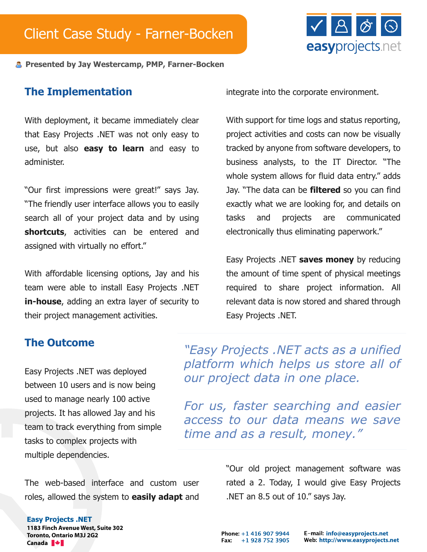

**Presented by Jay Westercamp, PMP, Farner-Bocken**

#### **The Implementation**

With deployment, it became immediately clear that Easy Projects .NET was not only easy to use, but also **easy to learn** and easy to administer.

"Our first impressions were great!" says Jay. "The friendly user interface allows you to easily search all of your project data and by using **shortcuts**, activities can be entered and assigned with virtually no effort."

With affordable licensing options, Jay and his team were able to install Easy Projects .NET **in-house**, adding an extra layer of security to their project management activities.

integrate into the corporate environment.

With support for time logs and status reporting, project activities and costs can now be visually tracked by anyone from software developers, to business analysts, to the IT Director. "The whole system allows for fluid data entry." adds Jay. "The data can be **filtered** so you can find exactly what we are looking for, and details on tasks and projects are communicated electronically thus eliminating paperwork."

Easy Projects .NET **saves money** by reducing the amount of time spent of physical meetings required to share project information. All relevant data is now stored and shared through Easy Projects .NET.

#### **The Outcome**

Easy Projects .NET was deployed between 10 users and is now being used to manage nearly 100 active projects. It has allowed Jay and his team to track everything from simple tasks to complex projects with multiple dependencies.

The web-based interface and custom user roles, allowed the system to **easily adapt** and

*"Easy Projects .NET acts as a unified platform which helps us store all of our project data in one place.*

*For us, faster searching and easier access to our data means we save time and as a result, money."*

> "Our old project management software was rated a 2. Today, I would give Easy Projects .NET an 8.5 out of 10." says Jay.

#### **Easy Projects .NET**

**1183 Finch Avenue West, Suite 302 Toronto, Ontario M3J 2G2 Canada**

Phone: +1 416 907 9944 Fax: +1 928 752 3905